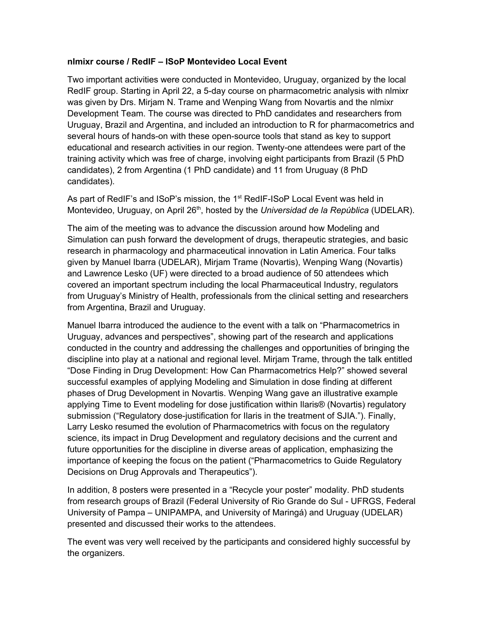## **nlmixr course / RedIF – ISoP Montevideo Local Event**

Two important activities were conducted in Montevideo, Uruguay, organized by the local RedIF group. Starting in April 22, a 5-day course on pharmacometric analysis with nlmixr was given by Drs. Mirjam N. Trame and Wenping Wang from Novartis and the nlmixr Development Team. The course was directed to PhD candidates and researchers from Uruguay, Brazil and Argentina, and included an introduction to R for pharmacometrics and several hours of hands-on with these open-source tools that stand as key to support educational and research activities in our region. Twenty-one attendees were part of the training activity which was free of charge, involving eight participants from Brazil (5 PhD candidates), 2 from Argentina (1 PhD candidate) and 11 from Uruguay (8 PhD candidates).

As part of RedIF's and ISoP's mission, the 1<sup>st</sup> RedIF-ISoP Local Event was held in Montevideo, Uruguay, on April 26<sup>th</sup>, hosted by the *Universidad de la República* (UDELAR).

The aim of the meeting was to advance the discussion around how Modeling and Simulation can push forward the development of drugs, therapeutic strategies, and basic research in pharmacology and pharmaceutical innovation in Latin America. Four talks given by Manuel Ibarra (UDELAR), Mirjam Trame (Novartis), Wenping Wang (Novartis) and Lawrence Lesko (UF) were directed to a broad audience of 50 attendees which covered an important spectrum including the local Pharmaceutical Industry, regulators from Uruguay's Ministry of Health, professionals from the clinical setting and researchers from Argentina, Brazil and Uruguay.

Manuel Ibarra introduced the audience to the event with a talk on "Pharmacometrics in Uruguay, advances and perspectives", showing part of the research and applications conducted in the country and addressing the challenges and opportunities of bringing the discipline into play at a national and regional level. Mirjam Trame, through the talk entitled "Dose Finding in Drug Development: How Can Pharmacometrics Help?" showed several successful examples of applying Modeling and Simulation in dose finding at different phases of Drug Development in Novartis. Wenping Wang gave an illustrative example applying Time to Event modeling for dose justification within Ilaris® (Novartis) regulatory submission ("Regulatory dose-justification for Ilaris in the treatment of SJIA."). Finally, Larry Lesko resumed the evolution of Pharmacometrics with focus on the regulatory science, its impact in Drug Development and regulatory decisions and the current and future opportunities for the discipline in diverse areas of application, emphasizing the importance of keeping the focus on the patient ("Pharmacometrics to Guide Regulatory Decisions on Drug Approvals and Therapeutics").

In addition, 8 posters were presented in a "Recycle your poster" modality. PhD students from research groups of Brazil (Federal University of Rio Grande do Sul - UFRGS, Federal University of Pampa – UNIPAMPA, and University of Maringá) and Uruguay (UDELAR) presented and discussed their works to the attendees.

The event was very well received by the participants and considered highly successful by the organizers.